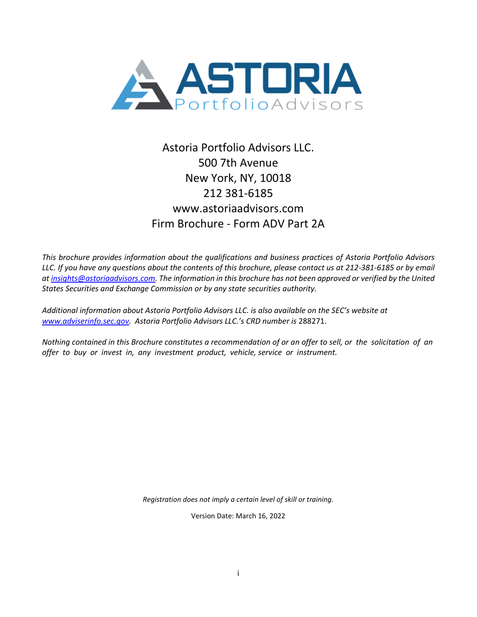

# Astoria Portfolio Advisors LLC. 500 7th Avenue New York, NY, 10018 212 381-6185 [www.astoriaadvisors.com](http://www.astoriaadvisors.com/) Firm Brochure - Form ADV Part 2A

*This brochure provides information about the qualifications and business practices of Astoria Portfolio Advisors LLC. If you have any questions about the contents of this brochure, please contact us at 212-381-6185 or by email at [insights@astoriaadvisors.com.](mailto:jdavi@astoriaadvisors.com) The information in this brochure has not been approved or verified by the United States Securities and Exchange Commission or by any state securities authority.*

*Additional information about Astoria Portfolio Advisors LLC. is also available on the SEC's website at [www.adviserinfo.sec.gov.](file:///C:/Users/Ann%20Hauerland/Documents/ADV%20Part%202A/www.adviserinfo.sec.gov) Astoria Portfolio Advisors LLC.'s CRD number is* 288271.

*Nothing contained in this Brochure constitutes a recommendation of or an offer to sell, or the solicitation of an offer to buy or invest in, any investment product, vehicle, service or instrument.*

*Registration does not imply a certain level of skill or training.*

Version Date: March 16, 2022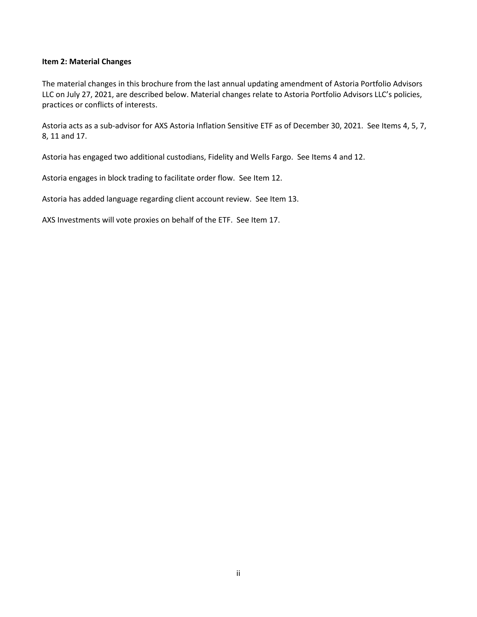#### <span id="page-1-0"></span>**Item 2: Material Changes**

The material changes in this brochure from the last annual updating amendment of Astoria Portfolio Advisors LLC on July 27, 2021, are described below. Material changes relate to Astoria Portfolio Advisors LLC's policies, practices or conflicts of interests.

Astoria acts as a sub-advisor for AXS Astoria Inflation Sensitive ETF as of December 30, 2021. See Items 4, 5, 7, 8, 11 and 17.

Astoria has engaged two additional custodians, Fidelity and Wells Fargo. See Items 4 and 12.

Astoria engages in block trading to facilitate order flow. See Item 12.

Astoria has added language regarding client account review. See Item 13.

AXS Investments will vote proxies on behalf of the ETF. See Item 17.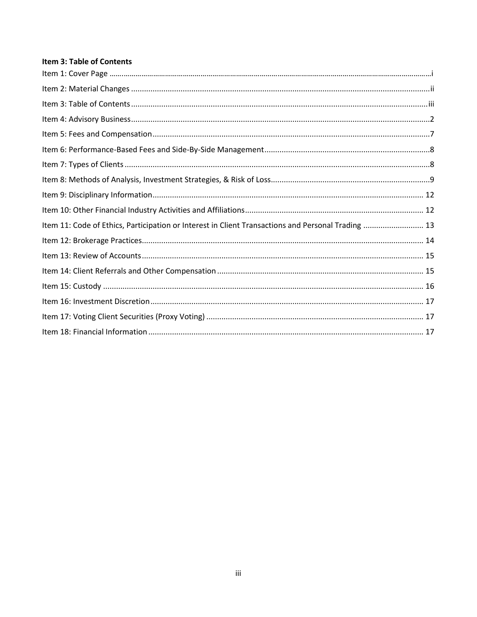# <span id="page-2-0"></span>Item 3: Table of Contents

| Item 11: Code of Ethics, Participation or Interest in Client Transactions and Personal Trading  13 |  |
|----------------------------------------------------------------------------------------------------|--|
|                                                                                                    |  |
|                                                                                                    |  |
|                                                                                                    |  |
|                                                                                                    |  |
|                                                                                                    |  |
|                                                                                                    |  |
|                                                                                                    |  |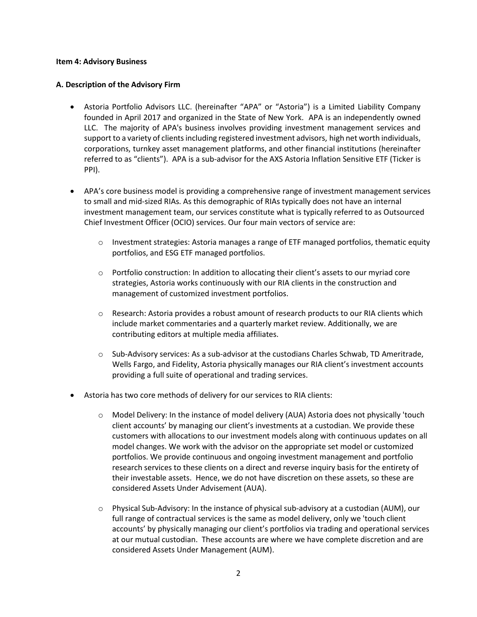#### <span id="page-3-0"></span>**Item 4: Advisory Business**

#### **A. Description of the Advisory Firm**

- Astoria Portfolio Advisors LLC. (hereinafter "APA" or "Astoria") is a Limited Liability Company founded in April 2017 and organized in the State of New York. APA is an independently owned LLC. The majority of APA's business involves providing investment management services and support to a variety of clients including registered investment advisors, high net worth individuals, corporations, turnkey asset management platforms, and other financial institutions (hereinafter referred to as "clients"). APA is a sub-advisor for the AXS Astoria Inflation Sensitive ETF (Ticker is PPI).
- APA's core business model is providing a comprehensive range of investment management services to small and mid-sized RIAs. As this demographic of RIAs typically does not have an internal investment management team, our services constitute what is typically referred to as Outsourced Chief Investment Officer (OCIO) services. Our four main vectors of service are:
	- $\circ$  Investment strategies: Astoria manages a range of ETF managed portfolios, thematic equity portfolios, and ESG ETF managed portfolios.
	- o Portfolio construction: In addition to allocating their client's assets to our myriad core strategies, Astoria works continuously with our RIA clients in the construction and management of customized investment portfolios.
	- o Research: Astoria provides a robust amount of research products to our RIA clients which include market commentaries and a quarterly market review. Additionally, we are contributing editors at multiple media affiliates.
	- o Sub-Advisory services: As a sub-advisor at the custodians Charles Schwab, TD Ameritrade, Wells Fargo, and Fidelity, Astoria physically manages our RIA client's investment accounts providing a full suite of operational and trading services.
- Astoria has two core methods of delivery for our services to RIA clients:
	- o Model Delivery: In the instance of model delivery (AUA) Astoria does not physically 'touch client accounts' by managing our client's investments at a custodian. We provide these customers with allocations to our investment models along with continuous updates on all model changes. We work with the advisor on the appropriate set model or customized portfolios. We provide continuous and ongoing investment management and portfolio research services to these clients on a direct and reverse inquiry basis for the entirety of their investable assets. Hence, we do not have discretion on these assets, so these are considered Assets Under Advisement (AUA).
	- $\circ$  Physical Sub-Advisory: In the instance of physical sub-advisory at a custodian (AUM), our full range of contractual services is the same as model delivery, only we 'touch client accounts' by physically managing our client's portfolios via trading and operational services at our mutual custodian. These accounts are where we have complete discretion and are considered Assets Under Management (AUM).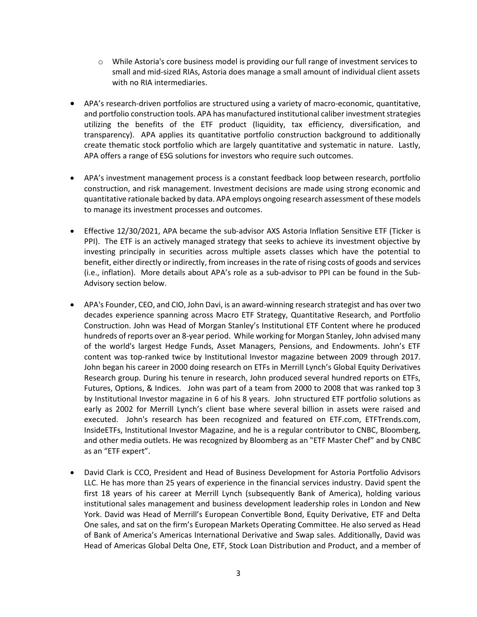- $\circ$  While Astoria's core business model is providing our full range of investment services to small and mid-sized RIAs, Astoria does manage a small amount of individual client assets with no RIA intermediaries.
- APA's research-driven portfolios are structured using a variety of macro-economic, quantitative, and portfolio construction tools. APA has manufactured institutional caliber investment strategies utilizing the benefits of the ETF product (liquidity, tax efficiency, diversification, and transparency). APA applies its quantitative portfolio construction background to additionally create thematic stock portfolio which are largely quantitative and systematic in nature. Lastly, APA offers a range of ESG solutions for investors who require such outcomes.
- APA's investment management process is a constant feedback loop between research, portfolio construction, and risk management. Investment decisions are made using strong economic and quantitative rationale backed by data. APA employs ongoing research assessment of these models to manage its investment processes and outcomes.
- Effective 12/30/2021, APA became the sub-advisor AXS Astoria Inflation Sensitive ETF (Ticker is PPI). The ETF is an actively managed strategy that seeks to achieve its investment objective by investing principally in securities across multiple assets classes which have the potential to benefit, either directly or indirectly, from increases in the rate of rising costs of goods and services (i.e., inflation). More details about APA's role as a sub-advisor to PPI can be found in the Sub-Advisory section below.
- APA's Founder, CEO, and CIO, John Davi, is an award-winning research strategist and has over two decades experience spanning across Macro ETF Strategy, Quantitative Research, and Portfolio Construction. John was Head of Morgan Stanley's Institutional ETF Content where he produced hundreds of reports over an 8-year period. While working for Morgan Stanley, John advised many of the world's largest Hedge Funds, Asset Managers, Pensions, and Endowments. John's ETF content was top-ranked twice by Institutional Investor magazine between 2009 through 2017. John began his career in 2000 doing research on ETFs in Merrill Lynch's Global Equity Derivatives Research group. During his tenure in research, John produced several hundred reports on ETFs, Futures, Options, & Indices. John was part of a team from 2000 to 2008 that was ranked top 3 by Institutional Investor magazine in 6 of his 8 years. John structured ETF portfolio solutions as early as 2002 for Merrill Lynch's client base where several billion in assets were raised and executed. John's research has been recognized and featured on ETF.com, ETFTrends.com, InsideETFs, Institutional Investor Magazine, and he is a regular contributor to CNBC, Bloomberg, and other media outlets. He was recognized by Bloomberg as an "ETF Master Chef" and by CNBC as an "ETF expert".
- David Clark is CCO, President and Head of Business Development for Astoria Portfolio Advisors LLC. He has more than 25 years of experience in the financial services industry. David spent the first 18 years of his career at Merrill Lynch (subsequently Bank of America), holding various institutional sales management and business development leadership roles in London and New York. David was Head of Merrill's European Convertible Bond, Equity Derivative, ETF and Delta One sales, and sat on the firm's European Markets Operating Committee. He also served as Head of Bank of America's Americas International Derivative and Swap sales. Additionally, David was Head of Americas Global Delta One, ETF, Stock Loan Distribution and Product, and a member of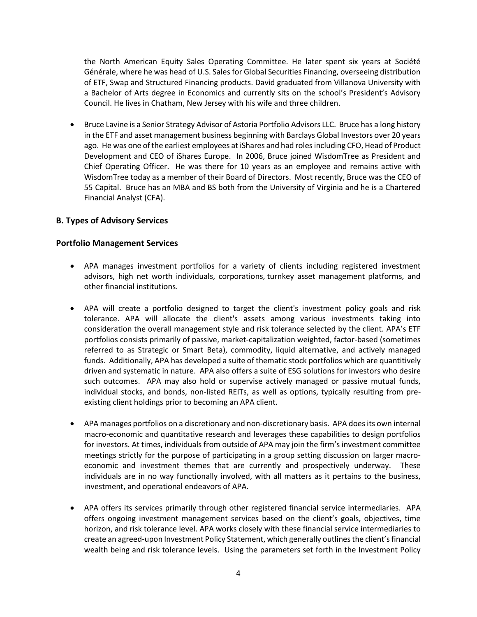the North American Equity Sales Operating Committee. He later spent six years at Société Générale, where he was head of U.S. Sales for Global Securities Financing, overseeing distribution of ETF, Swap and Structured Financing products. David graduated from Villanova University with a Bachelor of Arts degree in Economics and currently sits on the school's President's Advisory Council. He lives in Chatham, New Jersey with his wife and three children.

• Bruce Lavine is a Senior Strategy Advisor of Astoria Portfolio Advisors LLC. Bruce has a long history in the ETF and asset management business beginning with Barclays Global Investors over 20 years ago. He was one of the earliest employees at iShares and had roles including CFO, Head of Product Development and CEO of iShares Europe. In 2006, Bruce joined WisdomTree as President and Chief Operating Officer. He was there for 10 years as an employee and remains active with WisdomTree today as a member of their Board of Directors. Most recently, Bruce was the CEO of 55 Capital. Bruce has an MBA and BS both from the University of Virginia and he is a Chartered Financial Analyst (CFA).

# **B. Types of Advisory Services**

## **Portfolio Management Services**

- APA manages investment portfolios for a variety of clients including registered investment advisors, high net worth individuals, corporations, turnkey asset management platforms, and other financial institutions.
- APA will create a portfolio designed to target the client's investment policy goals and risk tolerance. APA will allocate the client's assets among various investments taking into consideration the overall management style and risk tolerance selected by the client. APA's ETF portfolios consists primarily of passive, market-capitalization weighted, factor-based (sometimes referred to as Strategic or Smart Beta), commodity, liquid alternative, and actively managed funds. Additionally, APA has developed a suite of thematic stock portfolios which are quantitively driven and systematic in nature. APA also offers a suite of ESG solutions for investors who desire such outcomes. APA may also hold or supervise actively managed or passive mutual funds, individual stocks, and bonds, non-listed REITs, as well as options, typically resulting from preexisting client holdings prior to becoming an APA client.
- APA manages portfolios on a discretionary and non-discretionary basis. APA does its own internal macro-economic and quantitative research and leverages these capabilities to design portfolios for investors. At times, individuals from outside of APA may join the firm's investment committee meetings strictly for the purpose of participating in a group setting discussion on larger macroeconomic and investment themes that are currently and prospectively underway. These individuals are in no way functionally involved, with all matters as it pertains to the business, investment, and operational endeavors of APA.
- APA offers its services primarily through other registered financial service intermediaries. APA offers ongoing investment management services based on the client's goals, objectives, time horizon, and risk tolerance level. APA works closely with these financial service intermediaries to create an agreed-upon Investment Policy Statement, which generally outlines the client's financial wealth being and risk tolerance levels. Using the parameters set forth in the Investment Policy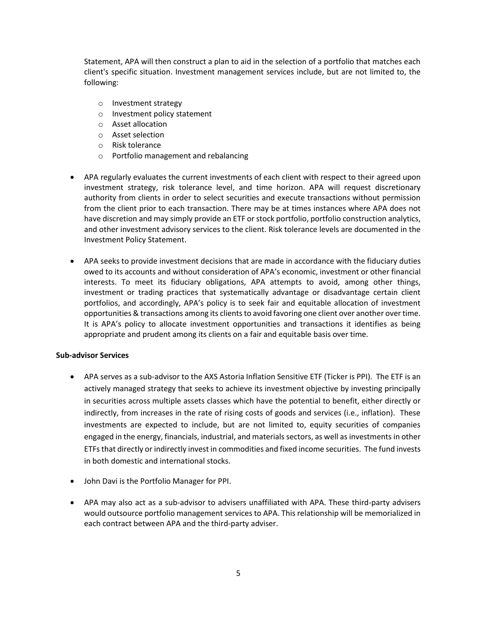Statement, APA will then construct a plan to aid in the selection of a portfolio that matches each client's specific situation. Investment management services include, but are not limited to, the following:

- o Investment strategy
- o Investment policy statement
- o Asset allocation
- o Asset selection
- o Risk tolerance
- o Portfolio management and rebalancing
- APA regularly evaluates the current investments of each client with respect to their agreed upon investment strategy, risk tolerance level, and time horizon. APA will request discretionary authority from clients in order to select securities and execute transactions without permission from the client prior to each transaction. There may be at times instances where APA does not have discretion and may simply provide an ETF or stock portfolio, portfolio construction analytics, and other investment advisory services to the client. Risk tolerance levels are documented in the Investment Policy Statement.
- APA seeks to provide investment decisions that are made in accordance with the fiduciary duties owed to its accounts and without consideration of APA's economic, investment or other financial interests. To meet its fiduciary obligations, APA attempts to avoid, among other things, investment or trading practices that systematically advantage or disadvantage certain client portfolios, and accordingly, APA's policy is to seek fair and equitable allocation of investment opportunities & transactions among its clients to avoid favoring one client over another over time. It is APA's policy to allocate investment opportunities and transactions it identifies as being appropriate and prudent among its clients on a fair and equitable basis over time.

## **Sub-advisor Services**

- APA serves as a sub-advisor to the AXS Astoria Inflation Sensitive ETF (Ticker is PPI). The ETF is an actively managed strategy that seeks to achieve its investment objective by investing principally in securities across multiple assets classes which have the potential to benefit, either directly or indirectly, from increases in the rate of rising costs of goods and services (i.e., inflation). These investments are expected to include, but are not limited to, equity securities of companies engaged in the energy, financials, industrial, and materials sectors, as well as investments in other ETFs that directly or indirectly invest in commodities and fixed income securities. The fund invests in both domestic and international stocks.
- John Davi is the Portfolio Manager for PPI.
- APA may also act as a sub-advisor to advisers unaffiliated with APA. These third-party advisers would outsource portfolio management services to APA. This relationship will be memorialized in each contract between APA and the third-party adviser.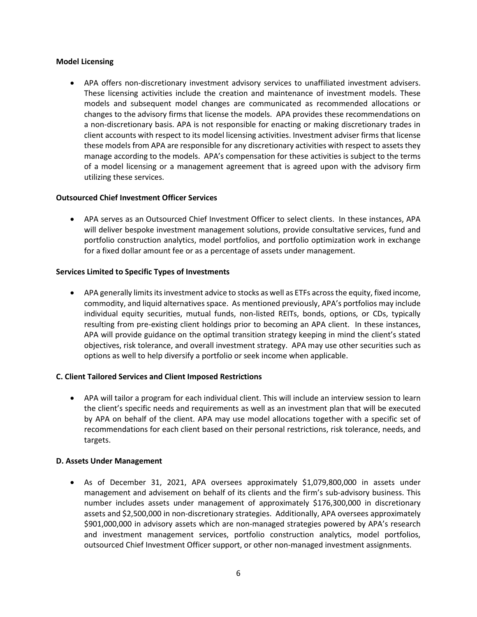#### **Model Licensing**

• APA offers non-discretionary investment advisory services to unaffiliated investment advisers. These licensing activities include the creation and maintenance of investment models. These models and subsequent model changes are communicated as recommended allocations or changes to the advisory firms that license the models. APA provides these recommendations on a non-discretionary basis. APA is not responsible for enacting or making discretionary trades in client accounts with respect to its model licensing activities. Investment adviser firms that license these models from APA are responsible for any discretionary activities with respect to assets they manage according to the models. APA's compensation for these activities is subject to the terms of a model licensing or a management agreement that is agreed upon with the advisory firm utilizing these services.

## **Outsourced Chief Investment Officer Services**

• APA serves as an Outsourced Chief Investment Officer to select clients. In these instances, APA will deliver bespoke investment management solutions, provide consultative services, fund and portfolio construction analytics, model portfolios, and portfolio optimization work in exchange for a fixed dollar amount fee or as a percentage of assets under management.

#### **Services Limited to Specific Types of Investments**

• APA generally limits its investment advice to stocks as well as ETFs across the equity, fixed income, commodity, and liquid alternatives space. As mentioned previously, APA's portfolios may include individual equity securities, mutual funds, non-listed REITs, bonds, options, or CDs, typically resulting from pre-existing client holdings prior to becoming an APA client. In these instances, APA will provide guidance on the optimal transition strategy keeping in mind the client's stated objectives, risk tolerance, and overall investment strategy. APA may use other securities such as options as well to help diversify a portfolio or seek income when applicable.

#### **C. Client Tailored Services and Client Imposed Restrictions**

• APA will tailor a program for each individual client. This will include an interview session to learn the client's specific needs and requirements as well as an investment plan that will be executed by APA on behalf of the client. APA may use model allocations together with a specific set of recommendations for each client based on their personal restrictions, risk tolerance, needs, and targets.

#### **D. Assets Under Management**

• As of December 31, 2021, APA oversees approximately \$1,079,800,000 in assets under management and advisement on behalf of its clients and the firm's sub-advisory business. This number includes assets under management of approximately \$176,300,000 in discretionary assets and \$2,500,000 in non-discretionary strategies. Additionally, APA oversees approximately \$901,000,000 in advisory assets which are non-managed strategies powered by APA's research and investment management services, portfolio construction analytics, model portfolios, outsourced Chief Investment Officer support, or other non-managed investment assignments.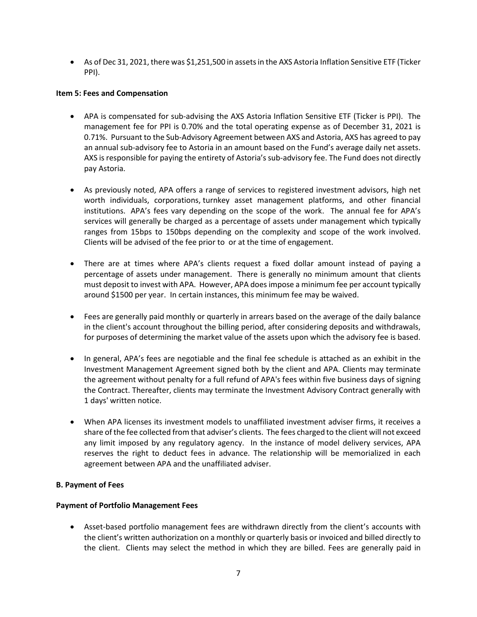• As of Dec 31, 2021, there was \$1,251,500 in assets in the AXS Astoria Inflation Sensitive ETF (Ticker PPI).

## <span id="page-8-0"></span>**Item 5: Fees and Compensation**

- APA is compensated for sub-advising the AXS Astoria Inflation Sensitive ETF (Ticker is PPI). The management fee for PPI is 0.70% and the total operating expense as of December 31, 2021 is 0.71%. Pursuant to the Sub-Advisory Agreement between AXS and Astoria, AXS has agreed to pay an annual sub-advisory fee to Astoria in an amount based on the Fund's average daily net assets. AXS is responsible for paying the entirety of Astoria's sub-advisory fee. The Fund does not directly pay Astoria.
- As previously noted, APA offers a range of services to registered investment advisors, high net worth individuals, corporations, turnkey asset management platforms, and other financial institutions. APA's fees vary depending on the scope of the work. The annual fee for APA's services will generally be charged as a percentage of assets under management which typically ranges from 15bps to 150bps depending on the complexity and scope of the work involved. Clients will be advised of the fee prior to or at the time of engagement.
- There are at times where APA's clients request a fixed dollar amount instead of paying a percentage of assets under management. There is generally no minimum amount that clients must deposit to invest with APA. However, APA does impose a minimum fee per account typically around \$1500 per year. In certain instances, this minimum fee may be waived.
- Fees are generally paid monthly or quarterly in arrears based on the average of the daily balance in the client's account throughout the billing period, after considering deposits and withdrawals, for purposes of determining the market value of the assets upon which the advisory fee is based.
- In general, APA's fees are negotiable and the final fee schedule is attached as an exhibit in the Investment Management Agreement signed both by the client and APA. Clients may terminate the agreement without penalty for a full refund of APA's fees within five business days of signing the Contract. Thereafter, clients may terminate the Investment Advisory Contract generally with 1 days' written notice.
- When APA licenses its investment models to unaffiliated investment adviser firms, it receives a share of the fee collected from that adviser's clients. The fees charged to the client will not exceed any limit imposed by any regulatory agency. In the instance of model delivery services, APA reserves the right to deduct fees in advance. The relationship will be memorialized in each agreement between APA and the unaffiliated adviser.

# **B. Payment of Fees**

## **Payment of Portfolio Management Fees**

• Asset-based portfolio management fees are withdrawn directly from the client's accounts with the client's written authorization on a monthly or quarterly basis or invoiced and billed directly to the client. Clients may select the method in which they are billed. Fees are generally paid in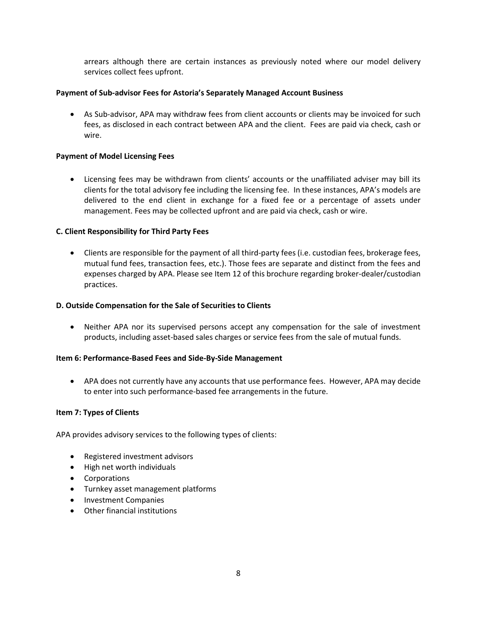arrears although there are certain instances as previously noted where our model delivery services collect fees upfront.

#### **Payment of Sub-advisor Fees for Astoria's Separately Managed Account Business**

• As Sub-advisor, APA may withdraw fees from client accounts or clients may be invoiced for such fees, as disclosed in each contract between APA and the client. Fees are paid via check, cash or wire.

#### **Payment of Model Licensing Fees**

• Licensing fees may be withdrawn from clients' accounts or the unaffiliated adviser may bill its clients for the total advisory fee including the licensing fee. In these instances, APA's models are delivered to the end client in exchange for a fixed fee or a percentage of assets under management. Fees may be collected upfront and are paid via check, cash or wire.

#### **C. Client Responsibility for Third Party Fees**

• Clients are responsible for the payment of all third-party fees (i.e. custodian fees, brokerage fees, mutual fund fees, transaction fees, etc.). Those fees are separate and distinct from the fees and expenses charged by APA. Please see Item 12 of this brochure regarding broker-dealer/custodian practices.

#### **D. Outside Compensation for the Sale of Securities to Clients**

• Neither APA nor its supervised persons accept any compensation for the sale of investment products, including asset-based sales charges or service fees from the sale of mutual funds.

#### <span id="page-9-0"></span>**Item 6: Performance-Based Fees and Side-By-Side Management**

• APA does not currently have any accounts that use performance fees. However, APA may decide to enter into such performance-based fee arrangements in the future.

#### <span id="page-9-1"></span>**Item 7: Types of Clients**

APA provides advisory services to the following types of clients:

- Registered investment advisors
- High net worth individuals
- Corporations
- Turnkey asset management platforms
- Investment Companies
- Other financial institutions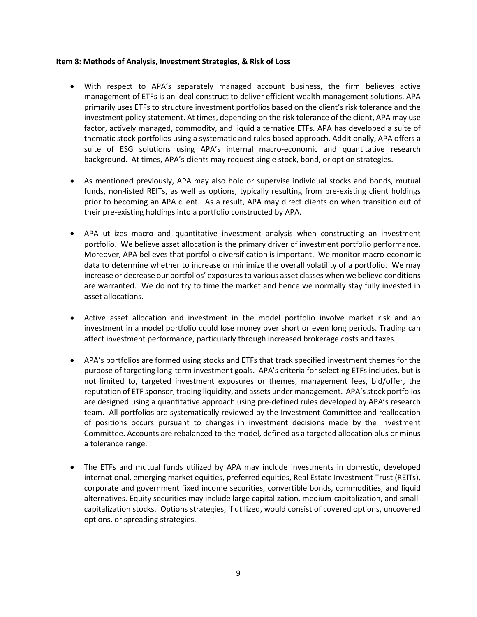#### <span id="page-10-0"></span>**Item 8: Methods of Analysis, Investment Strategies, & Risk of Loss**

- With respect to APA's separately managed account business, the firm believes active management of ETFs is an ideal construct to deliver efficient wealth management solutions. APA primarily uses ETFs to structure investment portfolios based on the client's risk tolerance and the investment policy statement. At times, depending on the risk tolerance of the client, APA may use factor, actively managed, commodity, and liquid alternative ETFs. APA has developed a suite of thematic stock portfolios using a systematic and rules-based approach. Additionally, APA offers a suite of ESG solutions using APA's internal macro-economic and quantitative research background. At times, APA's clients may request single stock, bond, or option strategies.
- As mentioned previously, APA may also hold or supervise individual stocks and bonds, mutual funds, non-listed REITs, as well as options, typically resulting from pre-existing client holdings prior to becoming an APA client. As a result, APA may direct clients on when transition out of their pre-existing holdings into a portfolio constructed by APA.
- APA utilizes macro and quantitative investment analysis when constructing an investment portfolio. We believe asset allocation is the primary driver of investment portfolio performance. Moreover, APA believes that portfolio diversification is important. We monitor macro-economic data to determine whether to increase or minimize the overall volatility of a portfolio. We may increase or decrease our portfolios' exposures to various asset classes when we believe conditions are warranted. We do not try to time the market and hence we normally stay fully invested in asset allocations.
- Active asset allocation and investment in the model portfolio involve market risk and an investment in a model portfolio could lose money over short or even long periods. Trading can affect investment performance, particularly through increased brokerage costs and taxes.
- APA's portfolios are formed using stocks and ETFs that track specified investment themes for the purpose of targeting long-term investment goals. APA's criteria for selecting ETFs includes, but is not limited to, targeted investment exposures or themes, management fees, bid/offer, the reputation of ETF sponsor, trading liquidity, and assets under management. APA's stock portfolios are designed using a quantitative approach using pre-defined rules developed by APA's research team. All portfolios are systematically reviewed by the Investment Committee and reallocation of positions occurs pursuant to changes in investment decisions made by the Investment Committee. Accounts are rebalanced to the model, defined as a targeted allocation plus or minus a tolerance range.
- The ETFs and mutual funds utilized by APA may include investments in domestic, developed international, emerging market equities, preferred equities, Real Estate Investment Trust (REITs), corporate and government fixed income securities, convertible bonds, commodities, and liquid alternatives. Equity securities may include large capitalization, medium-capitalization, and smallcapitalization stocks. Options strategies, if utilized, would consist of covered options, uncovered options, or spreading strategies.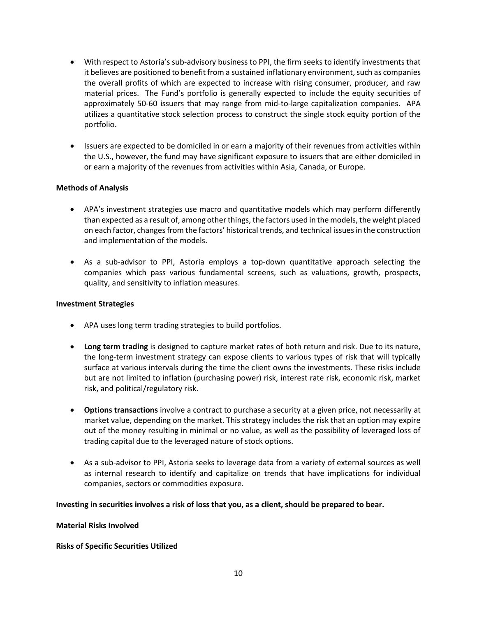- With respect to Astoria's sub-advisory business to PPI, the firm seeks to identify investments that it believes are positioned to benefit from a sustained inflationary environment, such as companies the overall profits of which are expected to increase with rising consumer, producer, and raw material prices. The Fund's portfolio is generally expected to include the equity securities of approximately 50-60 issuers that may range from mid-to-large capitalization companies. APA utilizes a quantitative stock selection process to construct the single stock equity portion of the portfolio.
- Issuers are expected to be domiciled in or earn a majority of their revenues from activities within the U.S., however, the fund may have significant exposure to issuers that are either domiciled in or earn a majority of the revenues from activities within Asia, Canada, or Europe.

## **Methods of Analysis**

- APA's investment strategies use macro and quantitative models which may perform differently than expected as a result of, among other things, the factors used in the models, the weight placed on each factor, changes from the factors' historical trends, and technical issues in the construction and implementation of the models.
- As a sub-advisor to PPI, Astoria employs a top-down quantitative approach selecting the companies which pass various fundamental screens, such as valuations, growth, prospects, quality, and sensitivity to inflation measures.

## **Investment Strategies**

- APA uses long term trading strategies to build portfolios.
- **Long term trading** is designed to capture market rates of both return and risk. Due to its nature, the long-term investment strategy can expose clients to various types of risk that will typically surface at various intervals during the time the client owns the investments. These risks include but are not limited to inflation (purchasing power) risk, interest rate risk, economic risk, market risk, and political/regulatory risk.
- **Options transactions** involve a contract to purchase a security at a given price, not necessarily at market value, depending on the market. This strategy includes the risk that an option may expire out of the money resulting in minimal or no value, as well as the possibility of leveraged loss of trading capital due to the leveraged nature of stock options.
- As a sub-advisor to PPI, Astoria seeks to leverage data from a variety of external sources as well as internal research to identify and capitalize on trends that have implications for individual companies, sectors or commodities exposure.

## **Investing in securities involves a risk of loss that you, as a client, should be prepared to bear.**

## **Material Risks Involved**

## **Risks of Specific Securities Utilized**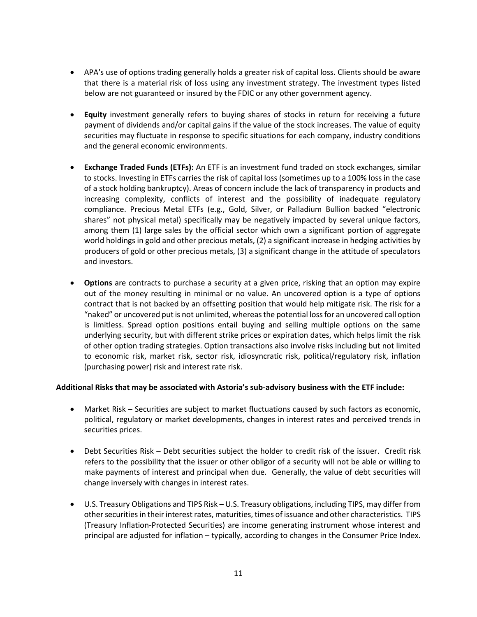- APA's use of options trading generally holds a greater risk of capital loss. Clients should be aware that there is a material risk of loss using any investment strategy. The investment types listed below are not guaranteed or insured by the FDIC or any other government agency.
- **Equity** investment generally refers to buying shares of stocks in return for receiving a future payment of dividends and/or capital gains if the value of the stock increases. The value of equity securities may fluctuate in response to specific situations for each company, industry conditions and the general economic environments.
- **Exchange Traded Funds (ETFs):** An ETF is an investment fund traded on stock exchanges, similar to stocks. Investing in ETFs carries the risk of capital loss (sometimes up to a 100% loss in the case of a stock holding bankruptcy). Areas of concern include the lack of transparency in products and increasing complexity, conflicts of interest and the possibility of inadequate regulatory compliance. Precious Metal ETFs (e.g., Gold, Silver, or Palladium Bullion backed "electronic shares" not physical metal) specifically may be negatively impacted by several unique factors, among them (1) large sales by the official sector which own a significant portion of aggregate world holdings in gold and other precious metals, (2) a significant increase in hedging activities by producers of gold or other precious metals, (3) a significant change in the attitude of speculators and investors.
- **Options** are contracts to purchase a security at a given price, risking that an option may expire out of the money resulting in minimal or no value. An uncovered option is a type of options contract that is not backed by an offsetting position that would help mitigate risk. The risk for a "naked" or uncovered put is not unlimited, whereas the potential loss for an uncovered call option is limitless. Spread option positions entail buying and selling multiple options on the same underlying security, but with different strike prices or expiration dates, which helps limit the risk of other option trading strategies. Option transactions also involve risks including but not limited to economic risk, market risk, sector risk, idiosyncratic risk, political/regulatory risk, inflation (purchasing power) risk and interest rate risk.

## **Additional Risks that may be associated with Astoria's sub-advisory business with the ETF include:**

- Market Risk Securities are subject to market fluctuations caused by such factors as economic, political, regulatory or market developments, changes in interest rates and perceived trends in securities prices.
- Debt Securities Risk Debt securities subject the holder to credit risk of the issuer. Credit risk refers to the possibility that the issuer or other obligor of a security will not be able or willing to make payments of interest and principal when due. Generally, the value of debt securities will change inversely with changes in interest rates.
- U.S. Treasury Obligations and TIPS Risk U.S. Treasury obligations, including TIPS, may differ from other securities in their interest rates, maturities, times of issuance and other characteristics. TIPS (Treasury Inflation-Protected Securities) are income generating instrument whose interest and principal are adjusted for inflation – typically, according to changes in the Consumer Price Index.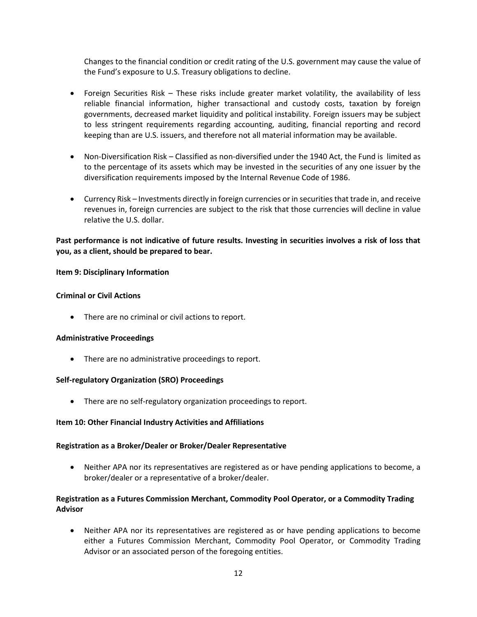Changes to the financial condition or credit rating of the U.S. government may cause the value of the Fund's exposure to U.S. Treasury obligations to decline.

- Foreign Securities Risk These risks include greater market volatility, the availability of less reliable financial information, higher transactional and custody costs, taxation by foreign governments, decreased market liquidity and political instability. Foreign issuers may be subject to less stringent requirements regarding accounting, auditing, financial reporting and record keeping than are U.S. issuers, and therefore not all material information may be available.
- Non-Diversification Risk Classified as non-diversified under the 1940 Act, the Fund is limited as to the percentage of its assets which may be invested in the securities of any one issuer by the diversification requirements imposed by the Internal Revenue Code of 1986.
- Currency Risk Investments directly in foreign currencies or in securities that trade in, and receive revenues in, foreign currencies are subject to the risk that those currencies will decline in value relative the U.S. dollar.

# **Past performance is not indicative of future results. Investing in securities involves a risk of loss that you, as a client, should be prepared to bear.**

## <span id="page-13-0"></span>**Item 9: Disciplinary Information**

## **Criminal or Civil Actions**

• There are no criminal or civil actions to report.

## **Administrative Proceedings**

• There are no administrative proceedings to report.

## **Self-regulatory Organization (SRO) Proceedings**

• There are no self-regulatory organization proceedings to report.

## <span id="page-13-1"></span>**Item 10: Other Financial Industry Activities and Affiliations**

## **Registration as a Broker/Dealer or Broker/Dealer Representative**

• Neither APA nor its representatives are registered as or have pending applications to become, a broker/dealer or a representative of a broker/dealer.

# **Registration as a Futures Commission Merchant, Commodity Pool Operator, or a Commodity Trading Advisor**

• Neither APA nor its representatives are registered as or have pending applications to become either a Futures Commission Merchant, Commodity Pool Operator, or Commodity Trading Advisor or an associated person of the foregoing entities.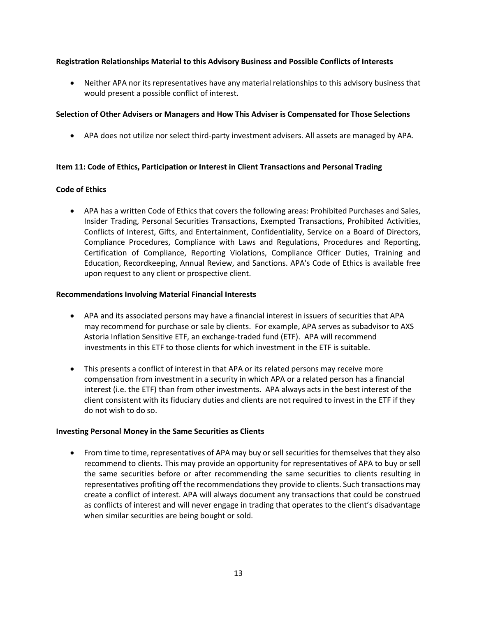## **Registration Relationships Material to this Advisory Business and Possible Conflicts of Interests**

• Neither APA nor its representatives have any material relationships to this advisory business that would present a possible conflict of interest.

# **Selection of Other Advisers or Managers and How This Adviser is Compensated for Those Selections**

• APA does not utilize nor select third-party investment advisers. All assets are managed by APA.

# <span id="page-14-0"></span>**Item 11: Code of Ethics, Participation or Interest in Client Transactions and Personal Trading**

## **Code of Ethics**

• APA has a written Code of Ethics that covers the following areas: Prohibited Purchases and Sales, Insider Trading, Personal Securities Transactions, Exempted Transactions, Prohibited Activities, Conflicts of Interest, Gifts, and Entertainment, Confidentiality, Service on a Board of Directors, Compliance Procedures, Compliance with Laws and Regulations, Procedures and Reporting, Certification of Compliance, Reporting Violations, Compliance Officer Duties, Training and Education, Recordkeeping, Annual Review, and Sanctions. APA's Code of Ethics is available free upon request to any client or prospective client.

## **Recommendations Involving Material Financial Interests**

- APA and its associated persons may have a financial interest in issuers of securities that APA may recommend for purchase or sale by clients. For example, APA serves as subadvisor to AXS Astoria Inflation Sensitive ETF, an exchange-traded fund (ETF). APA will recommend investments in this ETF to those clients for which investment in the ETF is suitable.
- This presents a conflict of interest in that APA or its related persons may receive more compensation from investment in a security in which APA or a related person has a financial interest (i.e. the ETF) than from other investments. APA always acts in the best interest of the client consistent with its fiduciary duties and clients are not required to invest in the ETF if they do not wish to do so.

## **Investing Personal Money in the Same Securities as Clients**

• From time to time, representatives of APA may buy or sell securities for themselves that they also recommend to clients. This may provide an opportunity for representatives of APA to buy or sell the same securities before or after recommending the same securities to clients resulting in representatives profiting off the recommendations they provide to clients. Such transactions may create a conflict of interest. APA will always document any transactions that could be construed as conflicts of interest and will never engage in trading that operates to the client's disadvantage when similar securities are being bought or sold.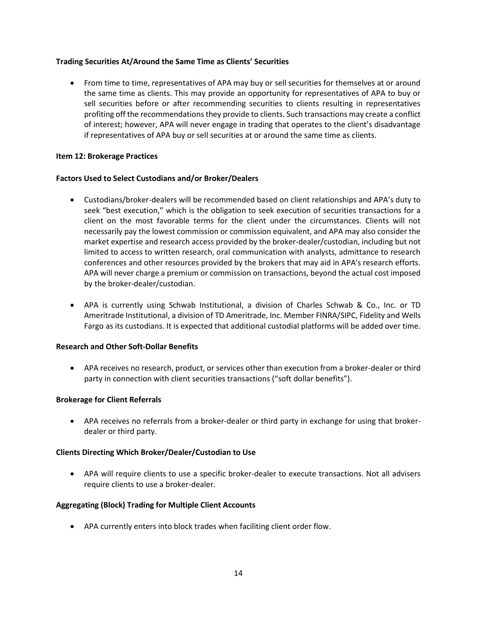## **Trading Securities At/Around the Same Time as Clients' Securities**

• From time to time, representatives of APA may buy or sell securities for themselves at or around the same time as clients. This may provide an opportunity for representatives of APA to buy or sell securities before or after recommending securities to clients resulting in representatives profiting off the recommendations they provide to clients. Such transactions may create a conflict of interest; however, APA will never engage in trading that operates to the client's disadvantage if representatives of APA buy or sell securities at or around the same time as clients.

## <span id="page-15-0"></span>**Item 12: Brokerage Practices**

#### **Factors Used to Select Custodians and/or Broker/Dealers**

- Custodians/broker-dealers will be recommended based on client relationships and APA's duty to seek "best execution," which is the obligation to seek execution of securities transactions for a client on the most favorable terms for the client under the circumstances. Clients will not necessarily pay the lowest commission or commission equivalent, and APA may also consider the market expertise and research access provided by the broker-dealer/custodian, including but not limited to access to written research, oral communication with analysts, admittance to research conferences and other resources provided by the brokers that may aid in APA's research efforts. APA will never charge a premium or commission on transactions, beyond the actual cost imposed by the broker-dealer/custodian.
- APA is currently using Schwab Institutional, a division of Charles Schwab & Co., Inc. or TD Ameritrade Institutional, a division of TD Ameritrade, Inc. Member FINRA/SIPC, Fidelity and Wells Fargo as its custodians. It is expected that additional custodial platforms will be added over time.

# **Research and Other Soft-Dollar Benefits**

• APA receives no research, product, or services other than execution from a broker-dealer or third party in connection with client securities transactions ("soft dollar benefits").

#### **Brokerage for Client Referrals**

• APA receives no referrals from a broker-dealer or third party in exchange for using that brokerdealer or third party.

#### **Clients Directing Which Broker/Dealer/Custodian to Use**

• APA will require clients to use a specific broker-dealer to execute transactions. Not all advisers require clients to use a broker-dealer.

## **Aggregating (Block) Trading for Multiple Client Accounts**

• APA currently enters into block trades when faciliting client order flow.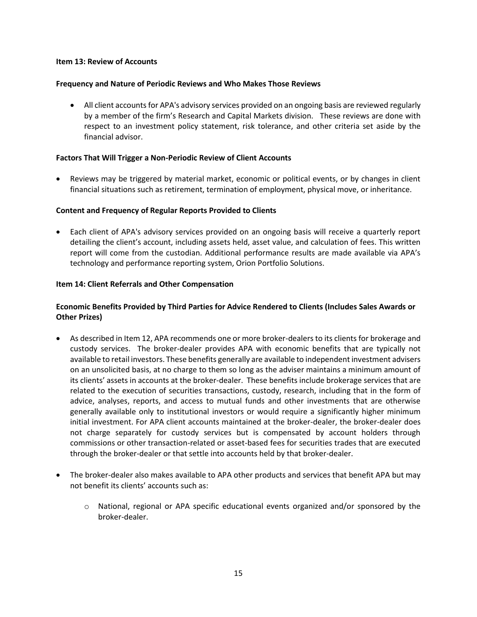#### <span id="page-16-0"></span>**Item 13: Review of Accounts**

#### **Frequency and Nature of Periodic Reviews and Who Makes Those Reviews**

• All client accounts for APA's advisory services provided on an ongoing basis are reviewed regularly by a member of the firm's Research and Capital Markets division. These reviews are done with respect to an investment policy statement, risk tolerance, and other criteria set aside by the financial advisor.

#### **Factors That Will Trigger a Non-Periodic Review of Client Accounts**

• Reviews may be triggered by material market, economic or political events, or by changes in client financial situations such as retirement, termination of employment, physical move, or inheritance.

#### **Content and Frequency of Regular Reports Provided to Clients**

• Each client of APA's advisory services provided on an ongoing basis will receive a quarterly report detailing the client's account, including assets held, asset value, and calculation of fees. This written report will come from the custodian. Additional performance results are made available via APA's technology and performance reporting system, Orion Portfolio Solutions.

#### <span id="page-16-1"></span>**Item 14: Client Referrals and Other Compensation**

## **Economic Benefits Provided by Third Parties for Advice Rendered to Clients (Includes Sales Awards or Other Prizes)**

- As described in Item 12, APA recommends one or more broker-dealers to its clients for brokerage and custody services. The broker-dealer provides APA with economic benefits that are typically not available to retail investors. These benefits generally are available to independent investment advisers on an unsolicited basis, at no charge to them so long as the adviser maintains a minimum amount of its clients' assets in accounts at the broker-dealer. These benefits include brokerage services that are related to the execution of securities transactions, custody, research, including that in the form of advice, analyses, reports, and access to mutual funds and other investments that are otherwise generally available only to institutional investors or would require a significantly higher minimum initial investment. For APA client accounts maintained at the broker-dealer, the broker-dealer does not charge separately for custody services but is compensated by account holders through commissions or other transaction-related or asset-based fees for securities trades that are executed through the broker-dealer or that settle into accounts held by that broker-dealer.
- The broker-dealer also makes available to APA other products and services that benefit APA but may not benefit its clients' accounts such as:
	- $\circ$  National, regional or APA specific educational events organized and/or sponsored by the broker-dealer.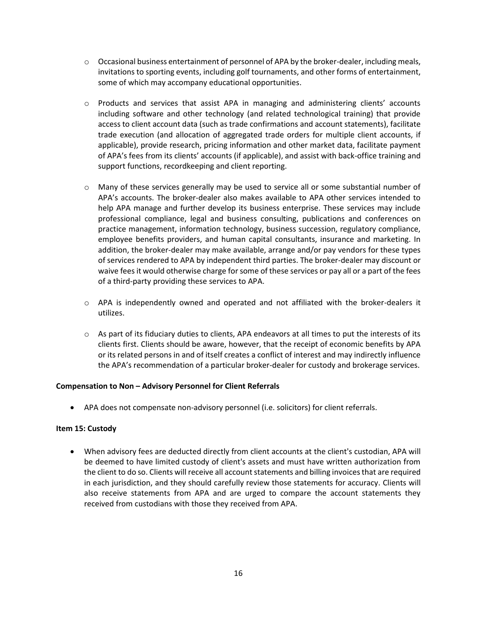- $\circ$  Occasional business entertainment of personnel of APA by the broker-dealer, including meals, invitations to sporting events, including golf tournaments, and other forms of entertainment, some of which may accompany educational opportunities.
- o Products and services that assist APA in managing and administering clients' accounts including software and other technology (and related technological training) that provide access to client account data (such as trade confirmations and account statements), facilitate trade execution (and allocation of aggregated trade orders for multiple client accounts, if applicable), provide research, pricing information and other market data, facilitate payment of APA's fees from its clients' accounts (if applicable), and assist with back-office training and support functions, recordkeeping and client reporting.
- $\circ$  Many of these services generally may be used to service all or some substantial number of APA's accounts. The broker-dealer also makes available to APA other services intended to help APA manage and further develop its business enterprise. These services may include professional compliance, legal and business consulting, publications and conferences on practice management, information technology, business succession, regulatory compliance, employee benefits providers, and human capital consultants, insurance and marketing. In addition, the broker-dealer may make available, arrange and/or pay vendors for these types of services rendered to APA by independent third parties. The broker-dealer may discount or waive fees it would otherwise charge for some of these services or pay all or a part of the fees of a third-party providing these services to APA.
- $\circ$  APA is independently owned and operated and not affiliated with the broker-dealers it utilizes.
- $\circ$  As part of its fiduciary duties to clients, APA endeavors at all times to put the interests of its clients first. Clients should be aware, however, that the receipt of economic benefits by APA or its related persons in and of itself creates a conflict of interest and may indirectly influence the APA's recommendation of a particular broker-dealer for custody and brokerage services.

## **Compensation to Non – Advisory Personnel for Client Referrals**

• APA does not compensate non-advisory personnel (i.e. solicitors) for client referrals.

#### <span id="page-17-0"></span>**Item 15: Custody**

• When advisory fees are deducted directly from client accounts at the client's custodian, APA will be deemed to have limited custody of client's assets and must have written authorization from the client to do so. Clients will receive all account statements and billing invoices that are required in each jurisdiction, and they should carefully review those statements for accuracy. Clients will also receive statements from APA and are urged to compare the account statements they received from custodians with those they received from APA.